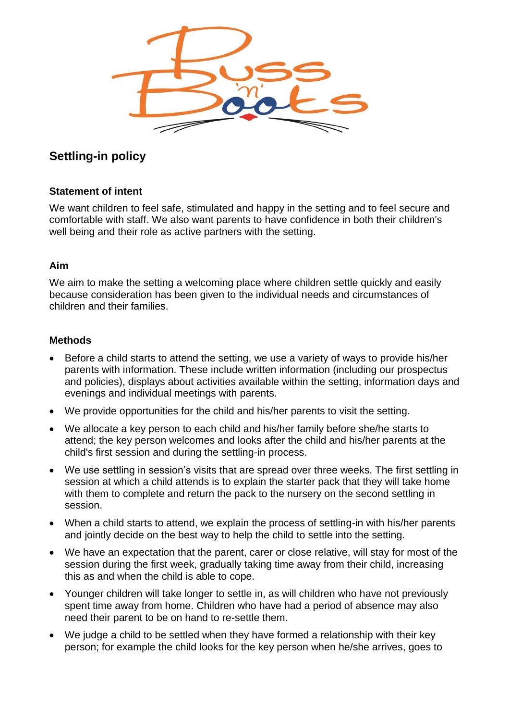

## **Settling-in policy**

## **Statement of intent**

We want children to feel safe, stimulated and happy in the setting and to feel secure and comfortable with staff. We also want parents to have confidence in both their children's well being and their role as active partners with the setting.

## **Aim**

We aim to make the setting a welcoming place where children settle quickly and easily because consideration has been given to the individual needs and circumstances of children and their families.

## **Methods**

- Before a child starts to attend the setting, we use a variety of ways to provide his/her parents with information. These include written information (including our prospectus and policies), displays about activities available within the setting, information days and evenings and individual meetings with parents.
- We provide opportunities for the child and his/her parents to visit the setting.
- We allocate a key person to each child and his/her family before she/he starts to attend; the key person welcomes and looks after the child and his/her parents at the child's first session and during the settling-in process.
- We use settling in session's visits that are spread over three weeks. The first settling in session at which a child attends is to explain the starter pack that they will take home with them to complete and return the pack to the nursery on the second settling in session.
- When a child starts to attend, we explain the process of settling-in with his/her parents and jointly decide on the best way to help the child to settle into the setting.
- We have an expectation that the parent, carer or close relative, will stay for most of the session during the first week, gradually taking time away from their child, increasing this as and when the child is able to cope.
- Younger children will take longer to settle in, as will children who have not previously spent time away from home. Children who have had a period of absence may also need their parent to be on hand to re-settle them.
- We judge a child to be settled when they have formed a relationship with their key person; for example the child looks for the key person when he/she arrives, goes to